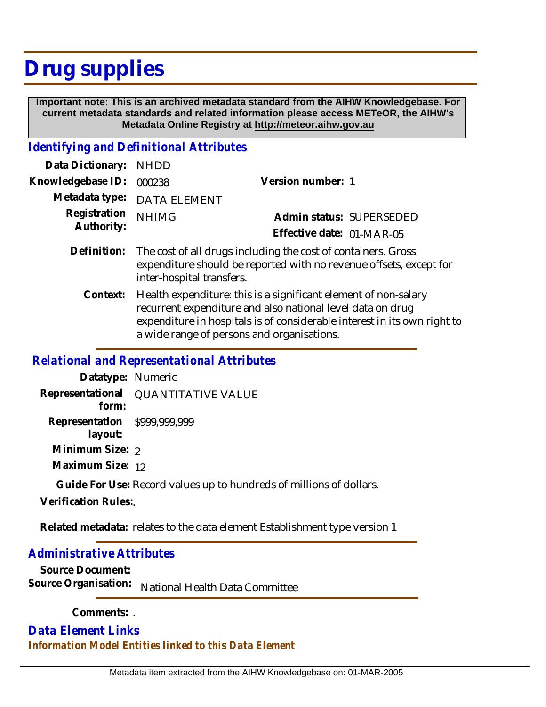## **Drug supplies**

 **Important note: This is an archived metadata standard from the AIHW Knowledgebase. For current metadata standards and related information please access METeOR, the AIHW's Metadata Online Registry at http://meteor.aihw.gov.au**

## *Identifying and Definitional Attributes*

| Data Dictionary: NHDD    |                             |                           |  |
|--------------------------|-----------------------------|---------------------------|--|
| Knowledgebase ID: 000238 |                             | Version number: 1         |  |
|                          | Metadata type: DATA ELEMENT |                           |  |
| Registration NHIMG       |                             | Admin status: SUPERSEDED  |  |
| Authority:               |                             | Effective date: 01-MAR-05 |  |
|                          |                             |                           |  |

- Definition: The cost of all drugs including the cost of containers. Gross expenditure should be reported with no revenue offsets, except for inter-hospital transfers.
	- Health expenditure: this is a significant element of non-salary recurrent expenditure and also national level data on drug expenditure in hospitals is of considerable interest in its own right to a wide range of persons and organisations. **Context:**

## *Relational and Representational Attributes*

**Datatype:** Numeric **Representational** QUANTITATIVE VALUE  **form: Representation** \$999,999,999  **layout: Minimum Size: 2** 

**Maximum Size:** 12

**Guide For Use:** Record values up to hundreds of millions of dollars.

**Verification Rules:**.

Related metadata: relates to the data element Establishment type version 1

## *Administrative Attributes*

**Source Document:** Source Organisation: National Health Data Committee

**Comments:** .

*Data Element Links Information Model Entities linked to this Data Element*